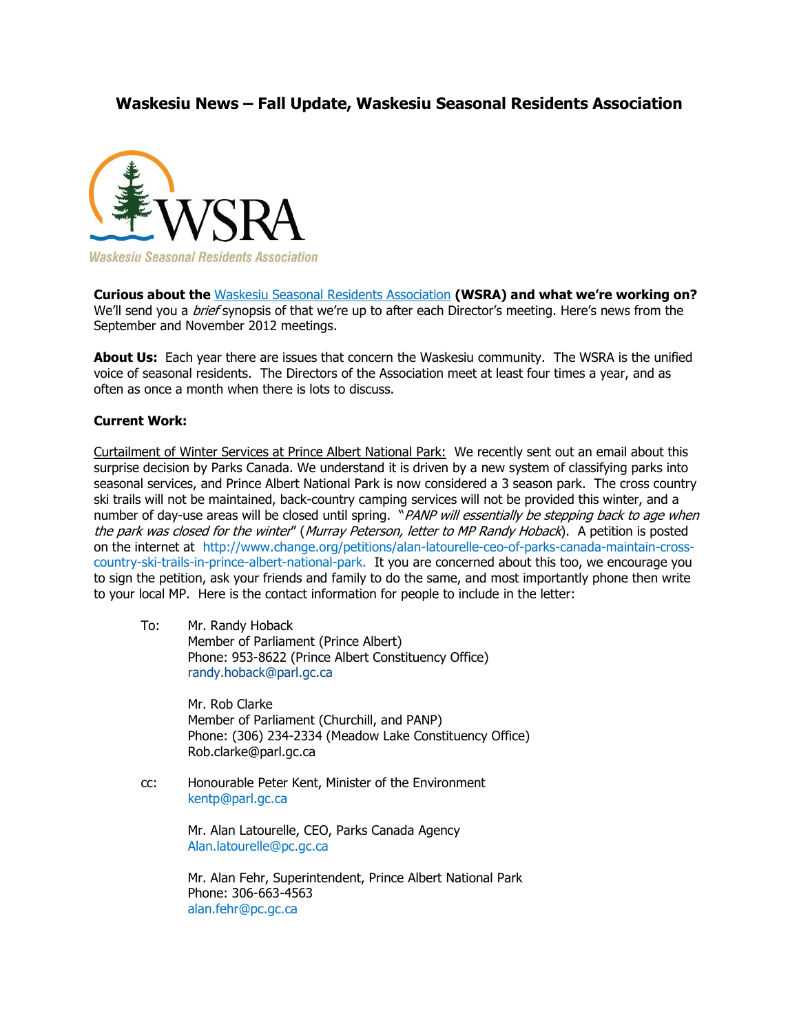## **Waskesiu News – Fall Update, Waskesiu Seasonal Residents Association**



**Waskesiu Seasonal Residents Association** 

**Curious about the** [Waskesiu Seasonal Residents Association](http://waskesiu.org/seasonal_residents.html) **(WSRA) and what we're working on?** We'll send you a *brief* synopsis of that we're up to after each Director's meeting. Here's news from the September and November 2012 meetings.

**About Us:** Each year there are issues that concern the Waskesiu community. The WSRA is the unified voice of seasonal residents. The Directors of the Association meet at least four times a year, and as often as once a month when there is lots to discuss.

## **Current Work:**

Curtailment of Winter Services at Prince Albert National Park: We recently sent out an email about this surprise decision by Parks Canada. We understand it is driven by a new system of classifying parks into seasonal services, and Prince Albert National Park is now considered a 3 season park. The cross country ski trails will not be maintained, back-country camping services will not be provided this winter, and a number of day-use areas will be closed until spring. "PANP will essentially be stepping back to age when the park was closed for the winter" (Murray Peterson, letter to MP Randy Hoback). A petition is posted on the internet at http://[www.change.org/petitions/alan-latourelle-ceo-of-parks-canada-maintain-cross](http://www.change.org/petitions/alan-latourelle-ceo-of-parks-canada-maintain-cross-country-ski-trails-in-prince-albert-national-park)[country-ski-trails-in-prince-albert-national-park.](http://www.change.org/petitions/alan-latourelle-ceo-of-parks-canada-maintain-cross-country-ski-trails-in-prince-albert-national-park) It you are concerned about this too, we encourage you to sign the petition, ask your friends and family to do the same, and most importantly phone then write to your local MP. Here is the contact information for people to include in the letter:

To: Mr. Randy Hoback Member of Parliament (Prince Albert) Phone: 953-8622 (Prince Albert Constituency Office) [randy.hoback@parl.gc.ca](mailto:randy.hoback@parl.gc.ca) 

> Mr. Rob Clarke Member of Parliament (Churchill, and PANP) Phone: (306) 234-2334 (Meadow Lake Constituency Office) Rob.clarke@parl.gc.ca

cc: Honourable Peter Kent, Minister of the Environment [kentp@parl.gc.ca](mailto:kentp@parl.gc.ca)

> Mr. Alan Latourelle, CEO, Parks Canada Agency [Alan.latourelle@pc.gc.ca](mailto:Alan.latourelle@pc.gc.ca)

Mr. Alan Fehr, Superintendent, Prince Albert National Park Phone: 306-663-4563 [alan.fehr@pc.gc.ca](mailto:alan.fehr@pc.gc.ca)